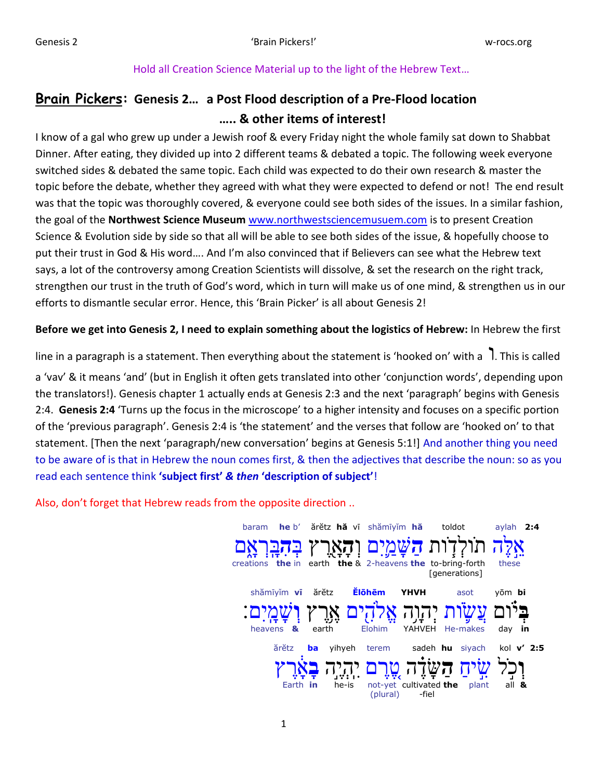# Hold all Creation Science Material up to the light of the Hebrew Text…

# **Brain Pickers: Genesis 2… a Post Flood description of a Pre-Flood location ….. & other items of interest!**

I know of a gal who grew up under a Jewish roof & every Friday night the whole family sat down to Shabbat Dinner. After eating, they divided up into 2 different teams & debated a topic. The following week everyone switched sides & debated the same topic. Each child was expected to do their own research & master the topic before the debate, whether they agreed with what they were expected to defend or not! The end result was that the topic was thoroughly covered, & everyone could see both sides of the issues. In a similar fashion, the goal of the **Northwest Science Museum** [www.northwestsciencemusuem.com](http://www.northwestsciencemusuem.com/) is to present Creation Science & Evolution side by side so that all will be able to see both sides of the issue, & hopefully choose to put their trust in God & His word…. And I'm also convinced that if Believers can see what the Hebrew text says, a lot of the controversy among Creation Scientists will dissolve, & set the research on the right track, strengthen our trust in the truth of God's word, which in turn will make us of one mind, & strengthen us in our efforts to dismantle secular error. Hence, this 'Brain Picker' is all about Genesis 2!

# **Before we get into Genesis 2, I need to explain something about the logistics of Hebrew:** In Hebrew the first

line in a paragraph is a statement. Then everything about the statement is 'hooked on' with a  $\;$  1. This is called a 'vav' & it means 'and' (but in English it often gets translated into other 'conjunction words', depending upon the translators!). Genesis chapter 1 actually ends at Genesis 2:3 and the next 'paragraph' begins with Genesis 2:4. **Genesis 2:4** 'Turns up the focus in the microscope' to a higher intensity and focuses on a specific portion of the 'previous paragraph'. Genesis 2:4 is 'the statement' and the verses that follow are 'hooked on' to that statement. [Then the next 'paragraph/new conversation' begins at Genesis 5:1!] And another thing you need to be aware of is that in Hebrew the noun comes first, & then the adjectives that describe the noun: so as you read each sentence think **'subject first'** *& then* **'description of subject'**!

Also, don't forget that Hebrew reads from the opposite direction ..

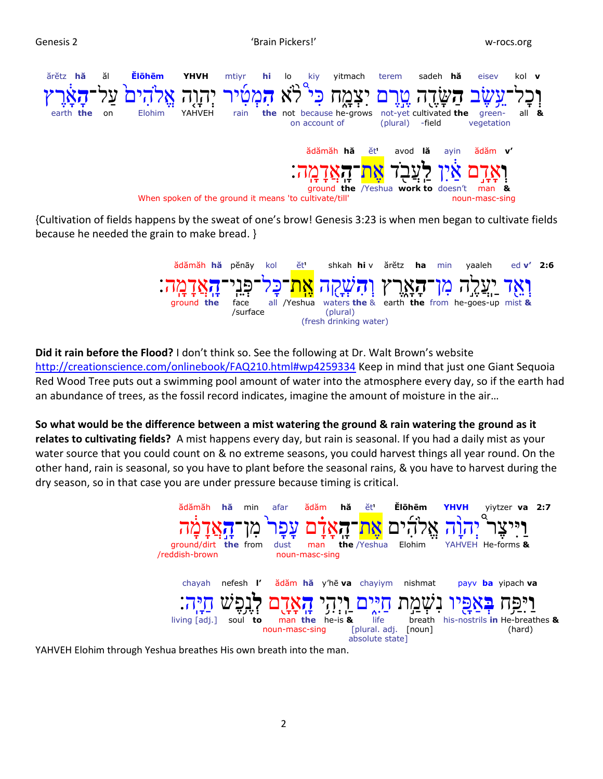

{Cultivation of fields happens by the sweat of one's brow! Genesis 3:23 is when men began to cultivate fields because he needed the grain to make bread. }



**Did it rain before the Flood?** I don't think so. See the following at Dr. Walt Brown's website <http://creationscience.com/onlinebook/FAQ210.html#wp4259334> Keep in mind that just one Giant Sequoia Red Wood Tree puts out a swimming pool amount of water into the atmosphere every day, so if the earth had an abundance of trees, as the fossil record indicates, imagine the amount of moisture in the air…

**So what would be the difference between a mist watering the ground & rain watering the ground as it relates to cultivating fields?** A mist happens every day, but rain is seasonal. If you had a daily mist as your water source that you could count on & no extreme seasons, you could harvest things all year round. On the other hand, rain is seasonal, so you have to plant before the seasonal rains, & you have to harvest during the dry season, so in that case you are under pressure because timing is critical.



YAHVEH Elohim through Yeshua breathes His own breath into the man.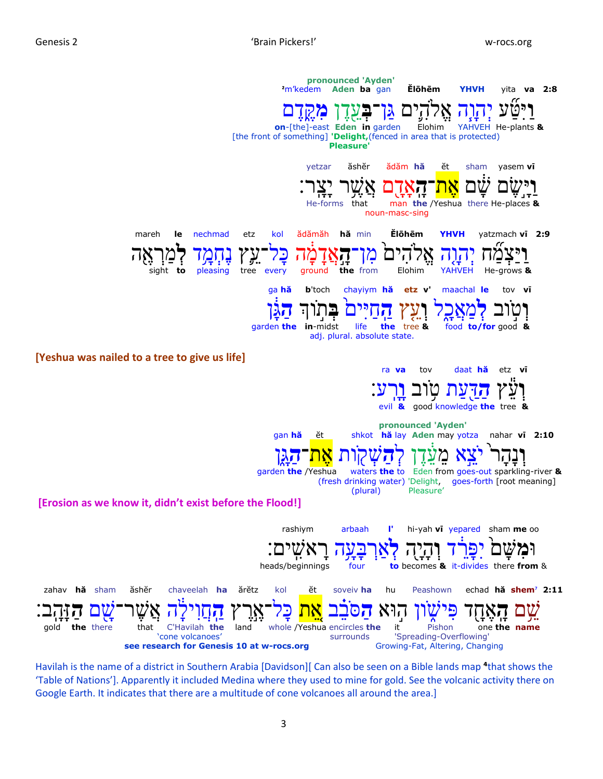

Havilah is the name of a district in Southern Arabia [Davidson][ Can also be seen on a Bible lands map <sup>4</sup>that shows the 'Table of Nations']. Apparently it included Medina where they used to mine for gold. See the volcanic activity there on Google Earth. It indicates that there are a multitude of cone volcanoes all around the area.]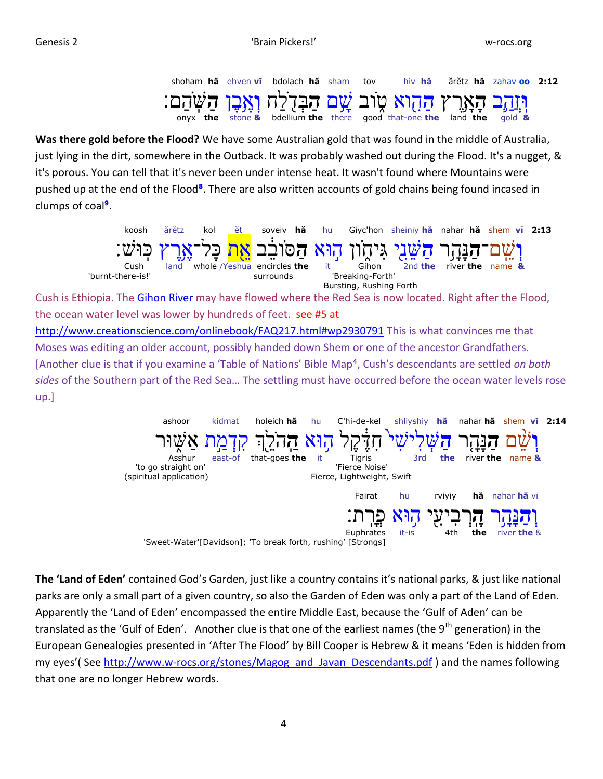

**Was there gold before the Flood?** We have some Australian gold that was found in the middle of Australia, just lying in the dirt, somewhere in the Outback. It was probably washed out during the Flood. It's a nugget, & it's porous. You can tell that it's never been under intense heat. It wasn't found where Mountains were pushed up at the end of the Flood<sup>8</sup>. There are also written accounts of gold chains being found incased in clumps of coal**⁹**.



Cush is Ethiopia. The Gihon River may have flowed where the Red Sea is now located. Right after the Flood, the ocean water level was lower by hundreds of feet. see #5 at

<http://www.creationscience.com/onlinebook/FAQ217.html#wp2930791> This is what convinces me that Moses was editing an older account, possibly handed down Shem or one of the ancestor Grandfathers. [Another clue is that if you examine a 'Table of Nations' Bible Map⁴, Cush's descendants are settled *on both sides* of the Southern part of the Red Sea… The settling must have occurred before the ocean water levels rose up.]



**The 'Land of Eden'** contained God's Garden, just like a country contains it's national parks, & just like national parks are only a small part of a given country, so also the Garden of Eden was only a part of the Land of Eden. Apparently the 'Land of Eden' encompassed the entire Middle East, because the 'Gulf of Aden' can be translated as the 'Gulf of Eden'. Another clue is that one of the earliest names (the  $9<sup>th</sup>$  generation) in the European Genealogies presented in 'After The Flood' by Bill Cooper is Hebrew & it means 'Eden is hidden from my eyes'( See [http://www.w-rocs.org/stones/Magog\\_and\\_Javan\\_Descendants.pdf](http://www.w-rocs.org/stones/Magog_and_Javan_Descendants.pdf) ) and the names following that one are no longer Hebrew words.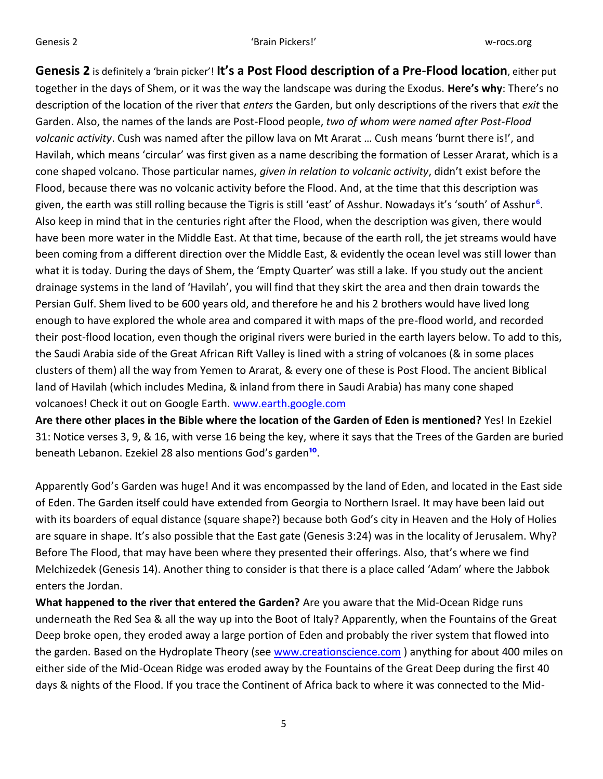**Genesis 2** is definitely a 'brain picker'! **It's a Post Flood description of a Pre-Flood location**, either put together in the days of Shem, or it was the way the landscape was during the Exodus. **Here's why**: There's no description of the location of the river that *enters* the Garden, but only descriptions of the rivers that *exit* the Garden. Also, the names of the lands are Post-Flood people, *two of whom were named after Post-Flood volcanic activity*. Cush was named after the pillow lava on Mt Ararat … Cush means 'burnt there is!', and Havilah, which means 'circular' was first given as a name describing the formation of Lesser Ararat, which is a cone shaped volcano. Those particular names, *given in relation to volcanic activity*, didn't exist before the Flood, because there was no volcanic activity before the Flood. And, at the time that this description was given, the earth was still rolling because the Tigris is still 'east' of Asshur. Nowadays it's 'south' of Asshur<sup>6</sup>. Also keep in mind that in the centuries right after the Flood, when the description was given, there would have been more water in the Middle East. At that time, because of the earth roll, the jet streams would have been coming from a different direction over the Middle East, & evidently the ocean level was still lower than what it is today. During the days of Shem, the 'Empty Quarter' was still a lake. If you study out the ancient drainage systems in the land of 'Havilah', you will find that they skirt the area and then drain towards the Persian Gulf. Shem lived to be 600 years old, and therefore he and his 2 brothers would have lived long enough to have explored the whole area and compared it with maps of the pre-flood world, and recorded their post-flood location, even though the original rivers were buried in the earth layers below. To add to this, the Saudi Arabia side of the Great African Rift Valley is lined with a string of volcanoes (& in some places clusters of them) all the way from Yemen to Ararat, & every one of these is Post Flood. The ancient Biblical land of Havilah (which includes Medina, & inland from there in Saudi Arabia) has many cone shaped volcanoes! Check it out on Google Earth. [www.earth.google.com](http://www.earth.google.com/) 

**Are there other places in the Bible where the location of the Garden of Eden is mentioned?** Yes! In Ezekiel 31: Notice verses 3, 9, & 16, with verse 16 being the key, where it says that the Trees of the Garden are buried beneath Lebanon. Ezekiel 28 also mentions God's garden<sup>10</sup>.

Apparently God's Garden was huge! And it was encompassed by the land of Eden, and located in the East side of Eden. The Garden itself could have extended from Georgia to Northern Israel. It may have been laid out with its boarders of equal distance (square shape?) because both God's city in Heaven and the Holy of Holies are square in shape. It's also possible that the East gate (Genesis 3:24) was in the locality of Jerusalem. Why? Before The Flood, that may have been where they presented their offerings. Also, that's where we find Melchizedek (Genesis 14). Another thing to consider is that there is a place called 'Adam' where the Jabbok enters the Jordan.

**What happened to the river that entered the Garden?** Are you aware that the Mid-Ocean Ridge runs underneath the Red Sea & all the way up into the Boot of Italy? Apparently, when the Fountains of the Great Deep broke open, they eroded away a large portion of Eden and probably the river system that flowed into the garden. Based on the Hydroplate Theory (see [www.creationscience.com](http://www.creationscience.com/)) anything for about 400 miles on either side of the Mid-Ocean Ridge was eroded away by the Fountains of the Great Deep during the first 40 days & nights of the Flood. If you trace the Continent of Africa back to where it was connected to the Mid-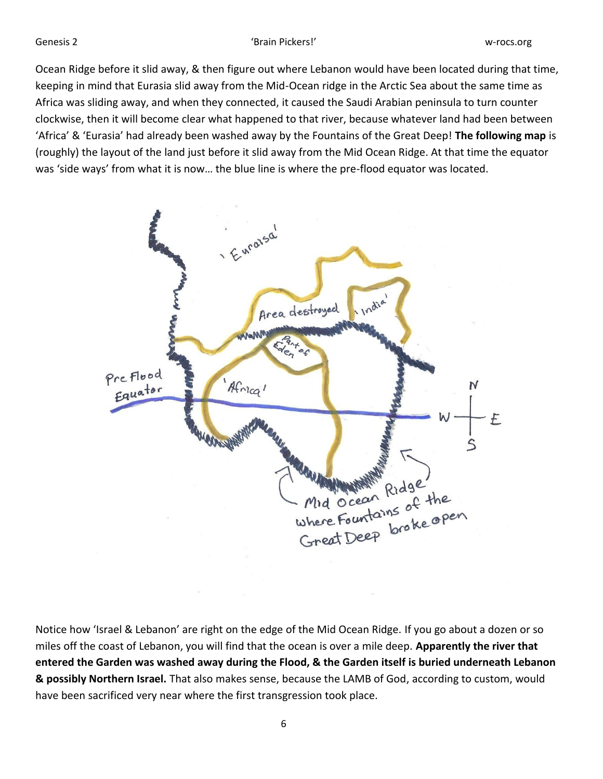Ocean Ridge before it slid away, & then figure out where Lebanon would have been located during that time, keeping in mind that Eurasia slid away from the Mid-Ocean ridge in the Arctic Sea about the same time as Africa was sliding away, and when they connected, it caused the Saudi Arabian peninsula to turn counter clockwise, then it will become clear what happened to that river, because whatever land had been between 'Africa' & 'Eurasia' had already been washed away by the Fountains of the Great Deep! **The following map** is (roughly) the layout of the land just before it slid away from the Mid Ocean Ridge. At that time the equator was 'side ways' from what it is now… the blue line is where the pre-flood equator was located.



Notice how 'Israel & Lebanon' are right on the edge of the Mid Ocean Ridge. If you go about a dozen or so miles off the coast of Lebanon, you will find that the ocean is over a mile deep. **Apparently the river that entered the Garden was washed away during the Flood, & the Garden itself is buried underneath Lebanon & possibly Northern Israel.** That also makes sense, because the LAMB of God, according to custom, would have been sacrificed very near where the first transgression took place.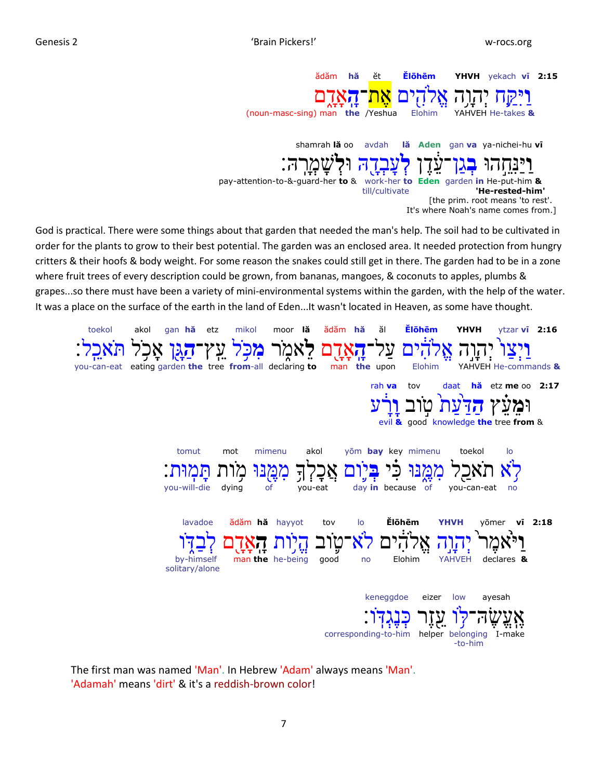

God is practical. There were some things about that garden that needed the man's help. The soil had to be cultivated in order for the plants to grow to their best potential. The garden was an enclosed area. It needed protection from hungry critters & their hoofs & body weight. For some reason the snakes could still get in there. The garden had to be in a zone where fruit trees of every description could be grown, from bananas, mangoes, & coconuts to apples, plumbs & grapes...so there must have been a variety of mini-environmental systems within the garden, with the help of the water. It was a place on the surface of the earth in the land of Eden...It wasn't located in Heaven, as some have thought.

| toekol | gan hă<br>akol<br>etz                                    | mikol                                        | ădăm hă<br>moor lă                                               | ăl                                                                 | <b>Ĕlōhēm</b>                                | <b>YHVH</b>              | ytzar vi 2:16               |  |
|--------|----------------------------------------------------------|----------------------------------------------|------------------------------------------------------------------|--------------------------------------------------------------------|----------------------------------------------|--------------------------|-----------------------------|--|
|        | you-can-eat eating garden the tree from-all declaring to | Т.,                                          | <b>UTT</b><br>Λ.                                                 | ΠŤ<br>man the upon                                                 | Elohim                                       | コエ                       | YAHVEH He-commands &        |  |
|        |                                                          |                                              |                                                                  | rah va                                                             | tov<br>evil & good knowledge the tree from & |                          | daat hă etz me oo 2:17      |  |
|        | tomut<br>I T<br>you-will-die                             | mimenu<br>mot<br><u>اپردر</u><br>dying<br>of | akol<br>지<br>ا: ار<br>$\overline{r}$ $\overline{r}$ :<br>you-eat | yōm bay key mimenu<br>כי<br>בי<br><u>ת ע'</u><br>day in because of | ለ።                                           | toekol<br>you-can-eat no | lo                          |  |
|        | lavadoe<br>by-himself<br>solitary/alone                  | ădăm hă hayyot<br>1T<br>man the he-being     | tov<br>good                                                      | $\overline{10}$<br>no                                              | Ĕlōhēm<br><b>YHVH</b><br>ៀ!<br>Elohim        | YAHVEH                   | yōmer vī 2:18<br>declares & |  |
|        |                                                          |                                              |                                                                  | keneggdoe<br>corresponding-to-him                                  | eizer<br>helper belonging                    | low<br>-to-him           | ayesah<br>I-make            |  |

The first man was named 'Man'. In Hebrew 'Adam' always means 'Man'. 'Adamah' means 'dirt' & it's a reddish-brown color!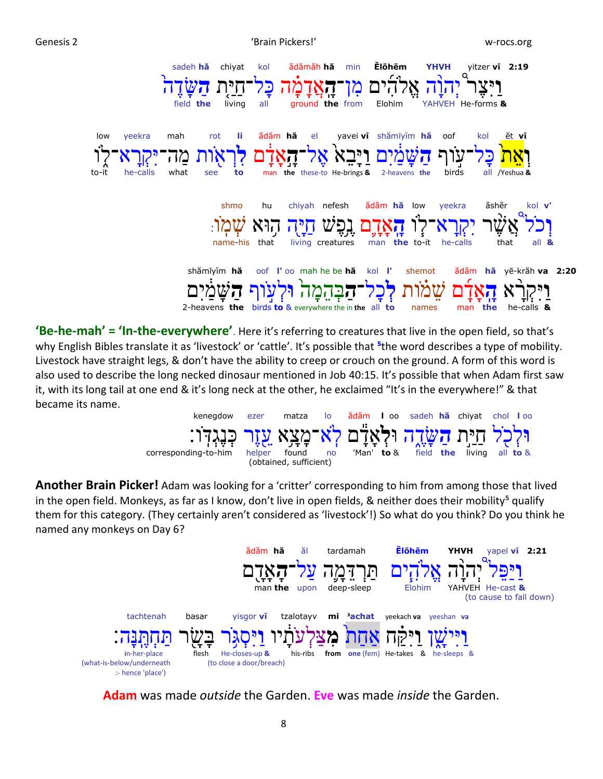Genesis 2 No. 2006 No. 2012 12:30 No. 2013 12:30 No. 2014 12:30 No. 2014 12:30 No. 2014 12:30 No. 2014 12:30 No



**'Be-he-mah' = 'In-the-everywhere'**. Here it's referring to creatures that live in the open field, so that's why English Bibles translate it as 'livestock' or 'cattle'. It's possible that <sup>5</sup>the word describes a type of mobility. Livestock have straight legs, & don't have the ability to creep or crouch on the ground. A form of this word is also used to describe the long necked dinosaur mentioned in Job 40:15. It's possible that when Adam first saw it, with its long tail at one end & it's long neck at the other, he exclaimed "It's in the everywhere!" & that became its name.



**Another Brain Picker!** Adam was looking for a 'critter' corresponding to him from among those that lived in the open field. Monkeys, as far as I know, don't live in open fields, & neither does their mobility<sup>5</sup> qualify them for this category. (They certainly aren't considered as 'livestock'!) So what do you think? Do you think he named any monkeys on Day 6?



**Adam** was made *outside* the Garden. **Eve** was made *inside* the Garden.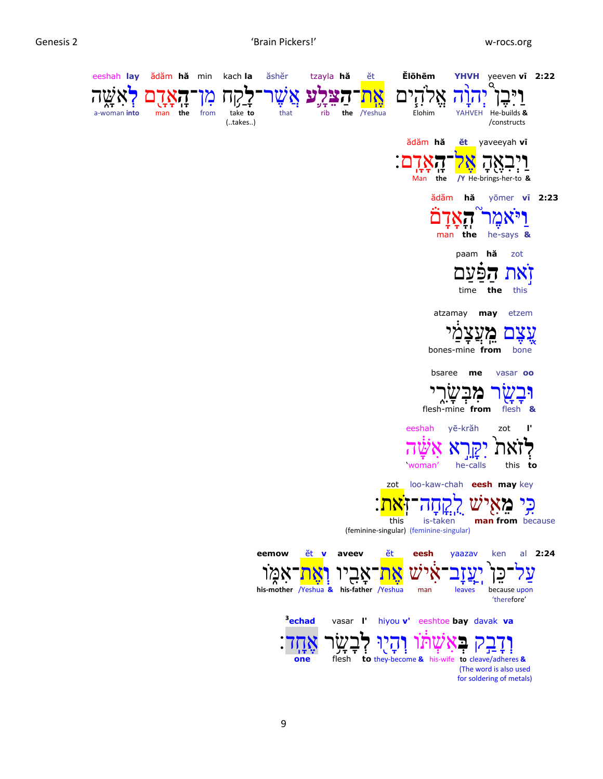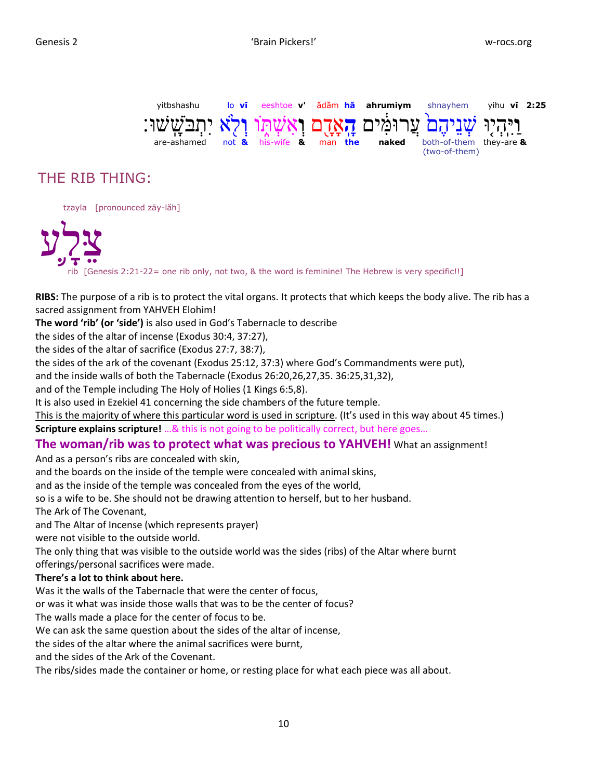

# THE RIB THING:

tzayla [pronounced zāy-lăh]

לע ֡֝<br>֧֝<br>֧֝֓֓֓֓֓֓֓֓֓֟׆<br>֧֪ צ rib [Genesis 2:21-22= one rib only, not two, & the word is feminine! The Hebrew is very specific!!]

**RIBS:** The purpose of a rib is to protect the vital organs. It protects that which keeps the body alive. The rib has a sacred assignment from YAHVEH Elohim!

**The word 'rib' (or 'side')** is also used in God's Tabernacle to describe

the sides of the altar of incense (Exodus 30:4, 37:27),

the sides of the altar of sacrifice (Exodus 27:7, 38:7),

the sides of the ark of the covenant (Exodus 25:12, 37:3) where God's Commandments were put),

and the inside walls of both the Tabernacle (Exodus 26:20,26,27,35. 36:25,31,32),

and of the Temple including The Holy of Holies (1 Kings 6:5,8).

It is also used in Ezekiel 41 concerning the side chambers of the future temple.

This is the majority of where this particular word is used in scripture. (It's used in this way about 45 times.) **Scripture explains scripture!** …& this is not going to be politically correct, but here goes…

# **The woman/rib was to protect what was precious to YAHVEH!** What an assignment!

And as a person's ribs are concealed with skin,

and the boards on the inside of the temple were concealed with animal skins,

and as the inside of the temple was concealed from the eyes of the world,

so is a wife to be. She should not be drawing attention to herself, but to her husband.

The Ark of The Covenant,

and The Altar of Incense (which represents prayer)

were not visible to the outside world.

The only thing that was visible to the outside world was the sides (ribs) of the Altar where burnt

offerings/personal sacrifices were made.

### **There's a lot to think about here.**

Was it the walls of the Tabernacle that were the center of focus,

or was it what was inside those walls that was to be the center of focus?

The walls made a place for the center of focus to be.

We can ask the same question about the sides of the altar of incense,

the sides of the altar where the animal sacrifices were burnt,

and the sides of the Ark of the Covenant.

The ribs/sides made the container or home, or resting place for what each piece was all about.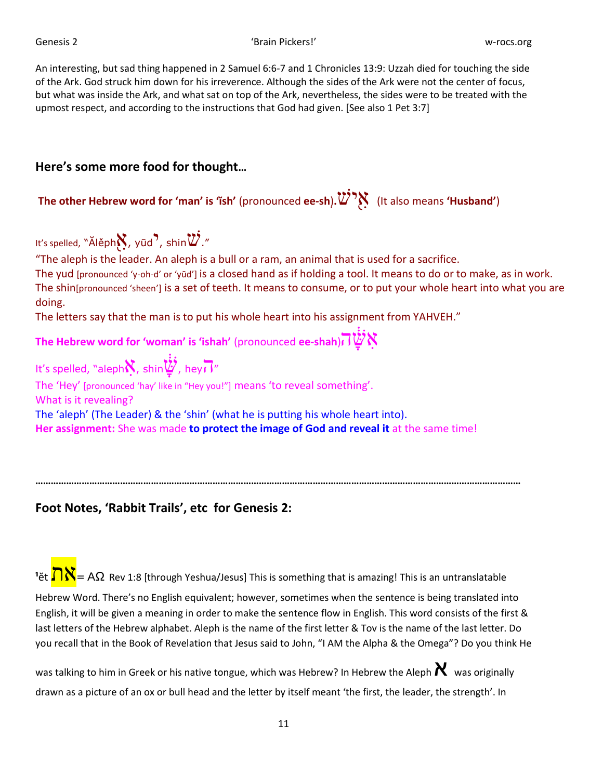Genesis 2 'Brain Pickers!' w-rocs.org

An interesting, but sad thing happened in 2 Samuel 6:6-7 and 1 Chronicles 13:9: Uzzah died for touching the side of the Ark. God struck him down for his irreverence. Although the sides of the Ark were not the center of focus, but what was inside the Ark, and what sat on top of the Ark, nevertheless, the sides were to be treated with the upmost respect, and according to the instructions that God had given. [See also 1 Pet 3:7]

# **Here's some more food for thought…**

**The other Hebrew word for 'man' is 'ĭsh'** (pronounced **ee-sh**)**.**iאיש ִָ֖ (It also means **'Husband'**)

It's spelled, "Ălěph $\aleph$ , yūd  $\cdot$  shin $\breve{w}$ ." "The aleph is the leader. An aleph is a bull or a ram, an animal that is used for a sacrifice. The yud [pronounced 'y-oh-d' or 'yūd'] is a closed hand as if holding a tool. It means to do or to make, as in work. The shin[pronounced 'sheen'] is a set of teeth. It means to consume, or to put your whole heart into what you are doing. The letters say that the man is to put his whole heart into his assignment from YAHVEH." **The Hebrew word for 'woman' is 'ishah'** (pronounced **ee-shah**)ה ָָּׁ֔שִא It's spelled, "aleph ִא, shin ָָּׁ֔ש, heyה " The 'Hey' [pronounced 'hay' like in "Hey you!"] means 'to reveal something'. What is it revealing? The 'aleph' (The Leader) & the 'shin' (what he is putting his whole heart into). **Her assignment:** She was made **to protect the image of God and reveal it** at the same time!

**Foot Notes, 'Rabbit Trails', etc for Genesis 2:**

<sup>1</sup>ět  $\overline{\bigcap} X$  = AΩ Rev 1:8 [through Yeshua/Jesus] This is something that is amazing! This is an untranslatable

**………………………………………………………………………………………………………………………………………………………………………**

Hebrew Word. There's no English equivalent; however, sometimes when the sentence is being translated into English, it will be given a meaning in order to make the sentence flow in English. This word consists of the first & last letters of the Hebrew alphabet. Aleph is the name of the first letter & Tov is the name of the last letter. Do you recall that in the Book of Revelation that Jesus said to John, "I AM the Alpha & the Omega"? Do you think He

was talking to him in Greek or his native tongue, which was Hebrew? In Hebrew the Aleph  $\bm{\chi}$  was originally drawn as a picture of an ox or bull head and the letter by itself meant 'the first, the leader, the strength'. In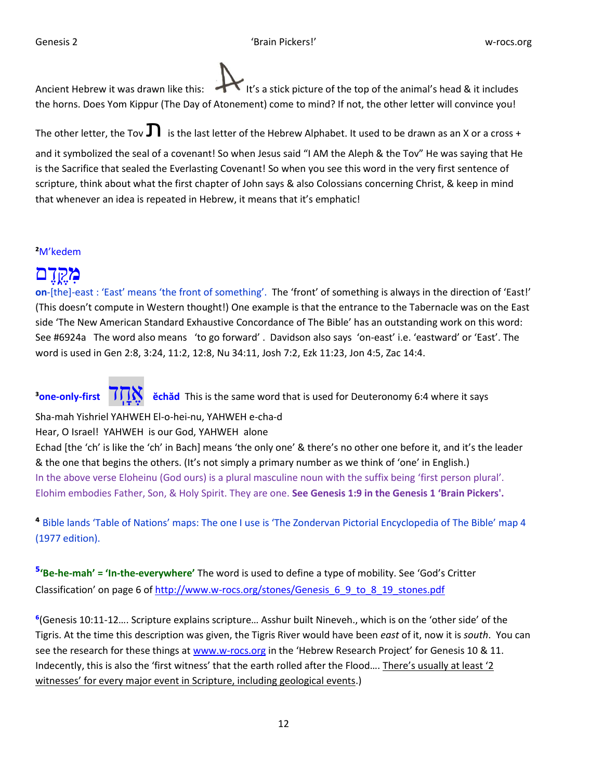Ancient Hebrew it was drawn like this: It's a stick picture of the top of the animal's head & it includes the horns. Does Yom Kippur (The Day of Atonement) come to mind? If not, the other letter will convince you!

The other letter, the Tov  $\Gamma$  is the last letter of the Hebrew Alphabet. It used to be drawn as an X or a cross +

and it symbolized the seal of a covenant! So when Jesus said "I AM the Aleph & the Tov" He was saying that He is the Sacrifice that sealed the Everlasting Covenant! So when you see this word in the very first sentence of scripture, think about what the first chapter of John says & also Colossians concerning Christ, & keep in mind that whenever an idea is repeated in Hebrew, it means that it's emphatic!

# **²**M'kedem

# דם **מ** ֶָּ֑**ַ**ק ֶּ

**on**-[the]-east : 'East' means 'the front of something'. The 'front' of something is always in the direction of 'East!' (This doesn't compute in Western thought!) One example is that the entrance to the Tabernacle was on the East side 'The New American Standard Exhaustive Concordance of The Bible' has an outstanding work on this word: See #6924a The word also means 'to go forward' . Davidson also says 'on-east' i.e. 'eastward' or 'East'. The word is used in Gen 2:8, 3:24, 11:2, 12:8, Nu 34:11, Josh 7:2, Ezk 11:23, Jon 4:5, Zac 14:4.

**<sup>3</sup>one-only-first TTM** echad This is the same word that is used for Deuteronomy 6:4 where it says

Sha-mah Yishriel YAHWEH El-o-hei-nu, YAHWEH e-cha-d

Hear, O Israel! YAHWEH is our God, YAHWEH alone

Echad [the 'ch' is like the 'ch' in Bach] means 'the only one' & there's no other one before it, and it's the leader & the one that begins the others. (It's not simply a primary number as we think of 'one' in English.) In the above verse Eloheinu (God ours) is a plural masculine noun with the suffix being 'first person plural'. Elohim embodies Father, Son, & Holy Spirit. They are one. **See Genesis 1:9 in the Genesis 1 'Brain Pickers'.**

**⁴** Bible lands 'Table of Nations' maps: The one I use is 'The Zondervan Pictorial Encyclopedia of The Bible' map 4 (1977 edition).

**⁵'Be-he-mah' = 'In-the-everywhere'** The word is used to define a type of mobility. See 'God's Critter Classification' on page 6 of [http://www.w-rocs.org/stones/Genesis\\_6\\_9\\_to\\_8\\_19\\_stones.pdf](http://www.w-rocs.org/stones/Genesis_6_9_to_8_19_stones.pdf)

**⁶**(Genesis 10:11-12…. Scripture explains scripture… Asshur built Nineveh., which is on the 'other side' of the Tigris. At the time this description was given, the Tigris River would have been *east* of it, now it is *south*. You can see the research for these things at [www.w-rocs.org](http://www.w-rocs.org/) in the 'Hebrew Research Project' for Genesis 10 & 11. Indecently, this is also the 'first witness' that the earth rolled after the Flood…. There's usually at least '2 witnesses' for every major event in Scripture, including geological events.)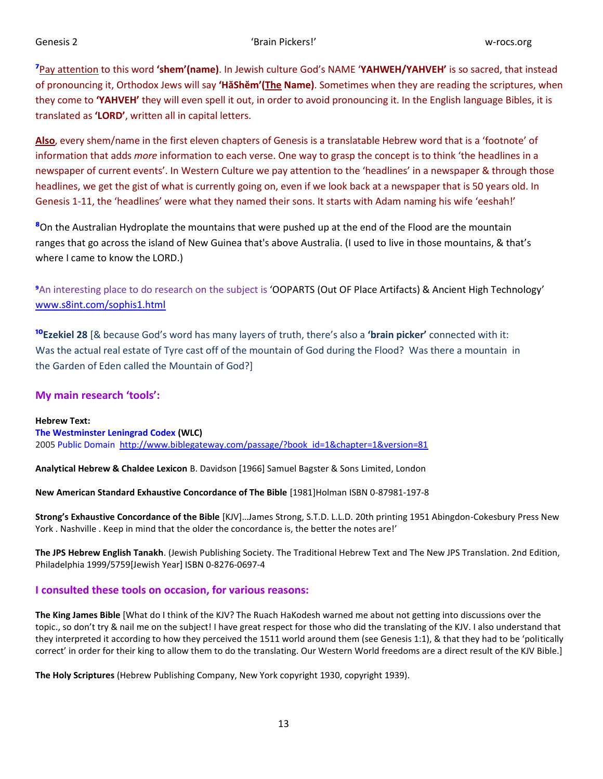**⁷**Pay attention to this word **'shem'(name)**. In Jewish culture God's NAME '**YAHWEH/YAHVEH'** is so sacred, that instead of pronouncing it, Orthodox Jews will say **'HăShĕm'(The Name)**. Sometimes when they are reading the scriptures, when they come to **'YAHVEH'** they will even spell it out, in order to avoid pronouncing it. In the English language Bibles, it is translated as **'LORD'**, written all in capital letters.

**Also**, every shem/name in the first eleven chapters of Genesis is a translatable Hebrew word that is a 'footnote' of information that adds *more* information to each verse. One way to grasp the concept is to think 'the headlines in a newspaper of current events'. In Western Culture we pay attention to the 'headlines' in a newspaper & through those headlines, we get the gist of what is currently going on, even if we look back at a newspaper that is 50 years old. In Genesis 1-11, the 'headlines' were what they named their sons. It starts with Adam naming his wife 'eeshah!'

**⁸**On the Australian Hydroplate the mountains that were pushed up at the end of the Flood are the mountain ranges that go across the island of New Guinea that's above Australia. (I used to live in those mountains, & that's where I came to know the LORD.)

**⁹**An interesting place to do research on the subject is 'OOPARTS (Out OF Place Artifacts) & Ancient High Technology' [www.s8int.com/sophis1.html](http://www.s8int.com/sophis1.html)

**¹⁰Ezekiel 28** [& because God's word has many layers of truth, there's also a **'brain picker'** connected with it: Was the actual real estate of Tyre cast off of the mountain of God during the Flood? Was there a mountain in the Garden of Eden called the Mountain of God?]

## **My main research 'tools':**

**Hebrew Text: The Westminster Leningrad Codex (WLC)** 2005 Public Domain [http://www.biblegateway.com/passage/?book\\_id=1&chapter=1&version=81](http://www.biblegateway.com/passage/?book_id=1&chapter=1&version=81)

**Analytical Hebrew & Chaldee Lexicon** B. Davidson [1966] Samuel Bagster & Sons Limited, London

**New American Standard Exhaustive Concordance of The Bible** [1981]Holman ISBN 0-87981-197-8

**Strong's Exhaustive Concordance of the Bible** [KJV]…James Strong, S.T.D. L.L.D. 20th printing 1951 Abingdon-Cokesbury Press New York . Nashville . Keep in mind that the older the concordance is, the better the notes are!'

**The JPS Hebrew English Tanakh**. (Jewish Publishing Society. The Traditional Hebrew Text and The New JPS Translation. 2nd Edition, Philadelphia 1999/5759[Jewish Year] ISBN 0-8276-0697-4

### **I consulted these tools on occasion, for various reasons:**

**The King James Bible** [What do I think of the KJV? The Ruach HaKodesh warned me about not getting into discussions over the topic., so don't try & nail me on the subject! I have great respect for those who did the translating of the KJV. I also understand that they interpreted it according to how they perceived the 1511 world around them (see Genesis 1:1), & that they had to be 'politically correct' in order for their king to allow them to do the translating. Our Western World freedoms are a direct result of the KJV Bible.]

**The Holy Scriptures** (Hebrew Publishing Company, New York copyright 1930, copyright 1939).